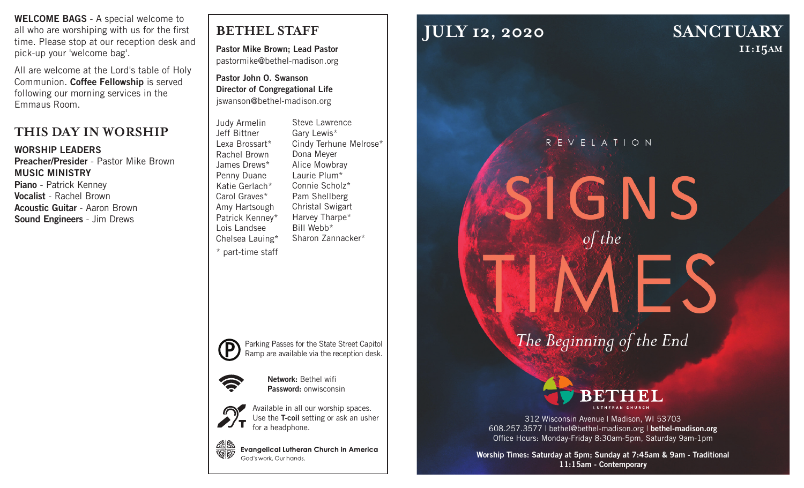**WELCOME BAGS** - A special welcome to all who are worshiping with us for the first time. Please stop at our reception desk and pick-up your 'welcome bag'.

All are welcome at the Lord's table of Holy Communion. **Coffee Fellowship** is served following our morning services in the Emmaus Room.

#### **THIS DAY IN WORSHIP**

**WORSHIP LEADERS**

**Preacher/Presider** - Pastor Mike Brown **MUSIC MINISTRY Piano** - Patrick Kenney **Vocalist** - Rachel Brown **Acoustic Guitar** - Aaron Brown **Sound Engineers** - Jim Drews

#### **BETHEL STAFF**

**Pastor Mike Brown; Lead Pastor** pastormike@bethel-madison.org

**Pastor John O. Swanson Director of Congregational Life** jswanson@bethel-madison.org

Judy Armelin Jeff Bittner Lexa Brossart\* Rachel Brown James Drews\* Penny Duane Katie Gerlach\* Carol Graves\* Amy Hartsough Patrick Kenney\* Lois Landsee Chelsea Lauing\* \* part-time staff Steve Lawrence Gary Lewis\* Cindy Terhune Melrose\* Dona Meyer Alice Mowbray Laurie Plum\* Connie Scholz\* Pam Shellberg Christal Swigart Harvey Tharpe\* Bill Webb\* Sharon Zannacker\*



**P** Parking Passes for the State Street Capitol Ramp are available via the reception desk.



**Network:** Bethel wifi **Password:** onwisconsin

Available in all our worship spaces. Use the **T-coil** setting or ask an usher for a headphone.

**Evangelical Lutheran Church in America** God's work, Our hands,

## **JULY 12, 2020**

### **SANCTUARY 11:15am**

#### REVELATION

SI GNS

of the

The Beginning of the End



312 Wisconsin Avenue | Madison, WI 53703 608.257.3577 | bethel@bethel-madison.org | **bethel-madison.org** Office Hours: Monday-Friday 8:30am-5pm, Saturday 9am-1pm

**Worship Times: Saturday at 5pm; Sunday at 7:45am & 9am - Traditional 11:15am - Contemporary**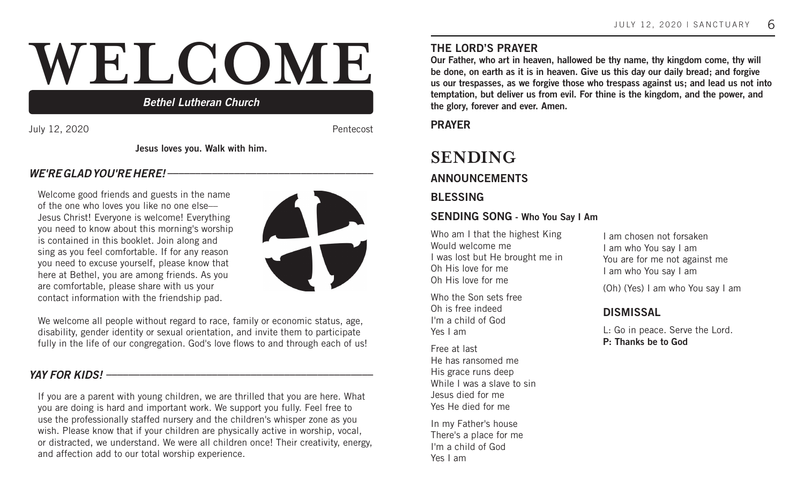# **WELCOME**

#### *Bethel Lutheran Church*

July 12, 2020 Pentecost

**Jesus loves you. Walk with him.**

#### *WE'RE GLAD YOU'RE HERE!*–––––––––––––––––––––––––––––––––––––

Welcome good friends and guests in the name of the one who loves you like no one else–– Jesus Christ! Everyone is welcome! Everything you need to know about this morning's worship is contained in this booklet. Join along and sing as you feel comfortable. If for any reason you need to excuse yourself, please know that here at Bethel, you are among friends. As you are comfortable, please share with us your contact information with the friendship pad.



We welcome all people without regard to race, family or economic status, age, disability, gender identity or sexual orientation, and invite them to participate fully in the life of our congregation. God's love flows to and through each of us!

#### *YAY FOR KIDS!*––––––––––––––––––––––––––––––––––––––––––––––––

If you are a parent with young children, we are thrilled that you are here. What you are doing is hard and important work. We support you fully. Feel free to use the professionally staffed nursery and the children's whisper zone as you wish. Please know that if your children are physically active in worship, vocal, or distracted, we understand. We were all children once! Their creativity, energy, and affection add to our total worship experience.

#### **THE LORD'S PRAYER**

**Our Father, who art in heaven, hallowed be thy name, thy kingdom come, thy will be done, on earth as it is in heaven. Give us this day our daily bread; and forgive us our trespasses, as we forgive those who trespass against us; and lead us not into temptation, but deliver us from evil. For thine is the kingdom, and the power, and the glory, forever and ever. Amen.**

**PRAYER**

# **SENDING ANNOUNCEMENTS**

#### **BLESSING**

#### **SENDING SONG - Who You Say I Am**

Who am I that the highest King Would welcome me I was lost but He brought me in Oh His love for me Oh His love for me

Who the Son sets free Oh is free indeed I'm a child of God Yes I am

Free at last He has ransomed me His grace runs deep While I was a slave to sin Jesus died for me Yes He died for me

In my Father's house There's a place for me I'm a child of God Yes I am

I am chosen not forsaken I am who You say I am You are for me not against me I am who You say I am

(Oh) (Yes) I am who You say I am

#### **DISMISSAL**

L: Go in peace. Serve the Lord. **P: Thanks be to God**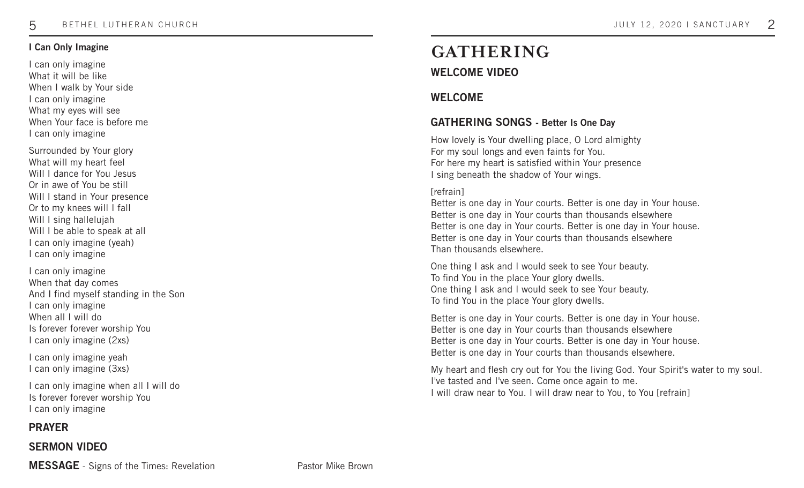#### **I Can Only Imagine**

I can only imagine What it will be like When I walk by Your side I can only imagine What my eyes will see When Your face is before me I can only imagine

Surrounded by Your glory What will my heart feel Will I dance for You Jesus Or in awe of You be still Will I stand in Your presence Or to my knees will I fall Will I sing hallelujah Will I be able to speak at all I can only imagine (yeah) I can only imagine

I can only imagine When that day comes And I find myself standing in the Son I can only imagine When all I will do Is forever forever worship You I can only imagine (2xs)

I can only imagine yeah I can only imagine (3xs)

I can only imagine when all I will do Is forever forever worship You I can only imagine

#### **PRAYER**

#### **SERMON VIDEO**

**MESSAGE** - Signs of the Times: Revelation

#### **WELCOME**

#### **GATHERING SONGS - Better Is One Day**

How lovely is Your dwelling place, O Lord almighty For my soul longs and even faints for You. For here my heart is satisfied within Your presence I sing beneath the shadow of Your wings.

#### [refrain]

Better is one day in Your courts. Better is one day in Your house. Better is one day in Your courts than thousands elsewhere Better is one day in Your courts. Better is one day in Your house. Better is one day in Your courts than thousands elsewhere Than thousands elsewhere.

One thing I ask and I would seek to see Your beauty. To find You in the place Your glory dwells. One thing I ask and I would seek to see Your beauty. To find You in the place Your glory dwells.

Better is one day in Your courts. Better is one day in Your house. Better is one day in Your courts than thousands elsewhere Better is one day in Your courts. Better is one day in Your house. Better is one day in Your courts than thousands elsewhere.

My heart and flesh cry out for You the living God. Your Spirit's water to my soul. I've tasted and I've seen. Come once again to me. I will draw near to You. I will draw near to You, to You [refrain]